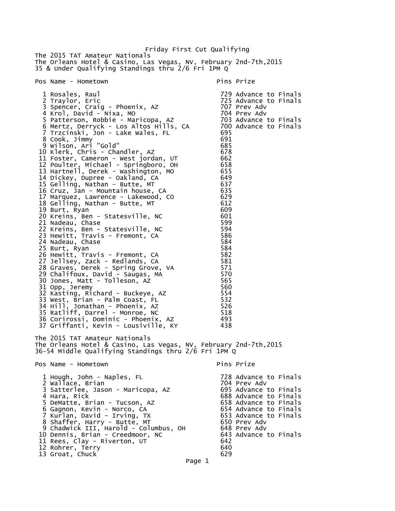Friday First Cut Qualifying The 2015 TAT Amateur Nationals The Orleans Hotel & Casino, Las Vegas, NV, February 2nd-7th,2015 35 & Under Qualifying Standings thru 2/6 Fri 1PM Q Pos Name - Hometown entry the pins Prize pins Prize 1 Rosales, Raul 729 Advance to Finals 725 Advance to Finals<br>707 Prev Adv 3 Spencer, Craig - Phoenix, AZ 707 Prev Adv 4 Krol, David - Nixa, MO 704 Prev Adv 5 Patterson, Robbie - Maricopa, AZ 703 Advance to Finals 6 Mertz, Derryck - Los Altos Hills, CA 700 Advance to Finals 7 Trzcinski, Jon - Lake Wales, FL 695 8 Cook, Jimmy 9 Wilson, Ari "Gold" 685 10 Klerk, Chris - Chandler, AZ 678 11 Foster, Cameron - West jordan, UT 662 12 Poulter, Michael - Springboro, OH 658 13 Hartnell, Derek - Washington, MO 655 14 Dickey, Dupree - Oakland, CA 649 15 Gelling, Nathan - Butte, MT 637 16 Cruz, Jan - Mountain house, CA 635 17 Marquez, Lawrence - Lakewood, CO 629 18 Gelling, Nathan - Butte, MT 612 19 Burt, Ryan 609 20 Kreins, Ben - Statesville, NC 601 21 Nadeau, Chase 599 22 Kreins, Ben - Statesville, NC 594 23 Hewitt, Travis - Fremont, CA 586 24 Nadeau, Chase 584<br>25 Burt, Ryan 584 25 Burt, Ryan 584 26 Hewitt, Travis - Fremont, CA 582 27 Jellsey, Zack - Redlands, CA 581 28 Graves, Derek - Spring Grove, VA 571 29 Chalifoux, David - Saugas, MA 570 30 Jones, Matt - Tolleson, AZ 565 31 Opp, Jeremy 560 32 Kasting, Richard - Buckeye, AZ 554 33 West, Brian - Palm Coast, FL 532 34 Hill, Jonathan - Phoenix, AZ 526 35 Ratliff, Darrel - Monroe, NC 518 36 Corirossi, Dominic - Phoenix, AZ 493 37 Griffanti, Kevin - Lousiville, KY 438 The 2015 TAT Amateur Nationals The Orleans Hotel & Casino, Las Vegas, NV, February 2nd-7th,2015 36-54 Middle Qualifying Standings thru 2/6 Fri 1PM Q Pos Name - Hometown entry the pins Prize pins Prize 1 Hough, John - Naples, FL 728 Advance to Finals 2 Wallace, Brian 704 Prev Adv 3 Satterlee, Jason - Maricopa, AZ<br>4 Hara, Rick 688 Advance to Finals<br>658 Advance to Finals 5 DeMatte, Brian - Tucson, AZ 658 Advance to Finals 6 Gagnon, Kevin - Norco, CA 654 Advance to Finals 7 Kurlan, David - Irving, TX 653 Advance to Finals 8 Shaffer, Harry - Butte, MT 650 Prev Adv 9 Chadwick III, Harold - Columbus, OH 648 Prev Adv 10 Dennis, Brian - Creedmoor, NC 643 Advance to Finals 11 Rees, Clay - Riverton, UT 642 12 Rohrer, Terry 640 13 Groat, Chuck

Page 1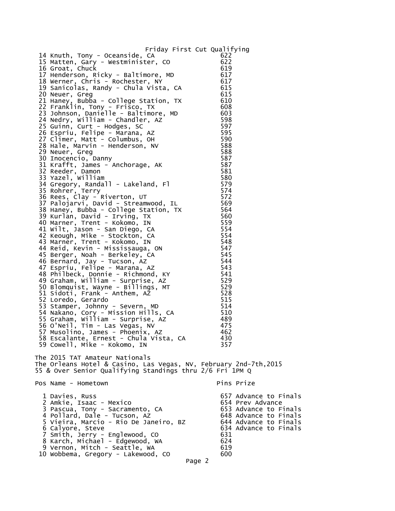| Friday First Cut Qualifying                                                                                                              |                   |                                                                         |
|------------------------------------------------------------------------------------------------------------------------------------------|-------------------|-------------------------------------------------------------------------|
| 14 Knuth, Tony - Oceanside, CA<br>15 Matten, Gary - Westminister, CO<br>16 Groat, Chuck                                                  | 622<br>622<br>619 |                                                                         |
| 17 Henderson, Ricky - Baltimore, MD<br>18 Werner, Chris - Rochester, NY<br>19 Sanicolas, Randy - Chula Vista, CA                         | 617<br>617<br>615 |                                                                         |
| 20 Neuer, Greg<br>21 Haney, Bubba - College Station, TX                                                                                  | 615<br>610        |                                                                         |
| 22 Franklin, Tony - Frisco, TX<br>23 Johnson, Danielle - Baltimore, MD<br>24 Nedry, William - Chandler, AZ                               | 608<br>603<br>598 |                                                                         |
| 25 Guinn, Curt - Hodges, SC<br>26 Espriu, Felipe - Marana, AZ                                                                            | 597<br>595        |                                                                         |
| 27 Climer, Matt - Columbus, OH<br>28 Hale, Marvin - Henderson, NV<br>29 Neuer, Greg                                                      | 590<br>588<br>588 |                                                                         |
| 30 Inocencio, Danny<br>31 Krafft, James - Anchorage, AK<br>32 Reeder, Damon                                                              | 587<br>587<br>581 |                                                                         |
| 33 Yazel, William<br>34 Gregory, Randall - Lakeland, Fl<br>35 Rohrer, Terry                                                              | 580<br>579        |                                                                         |
| 36 Rees, Clay - Riverton, UT<br>37 Palojarvi, David - Streamwood, IL                                                                     | 574<br>572<br>569 |                                                                         |
| 38 Haney, Bubba - College Station, TX<br>39 Kurlan, David - Irving, TX                                                                   | 564<br>560<br>559 |                                                                         |
| 40 Marner, Trent - Kokomo, IN<br>41 Wilt, Jason - San Diego, CA<br>42 Keough, Mike - Stockton, CA                                        | 554<br>554        |                                                                         |
| 43 Marner, Trent - Kokomo, IN<br>44 Reid, Kevin - Mississauga, ON<br>45 Berger, Noah - Berkeley, CA                                      | 548<br>547<br>545 |                                                                         |
| 46 Bernard, Jay - Tucson, AZ<br>47 Espriu, Felipe - Marana, AZ<br>48 Philbeck, Donnie - Richmond, KY                                     | 544<br>543<br>541 |                                                                         |
| 49 Graham, William - Surprise, AZ<br>50 Blomquist, Wayne - Billings, MT                                                                  | 529<br>529        |                                                                         |
| 51 Sidoti, Frank - Anthem, AZ<br>52 Loredo, Gerardo<br>53 Stamper, Johnny - Severn, MD                                                   | 528<br>515<br>514 |                                                                         |
| 54 Nakano, Cory - Mission Hills, CA<br>55 Graham, William - Surprise, AZ<br>56 O'Neil, Tim - Las Vegas, NV                               | 510<br>489<br>475 |                                                                         |
| 57 Musolino, James - Phoenix, AZ<br>58 Escalante, Ernest - Chula Vista, CA                                                               | 462<br>430        |                                                                         |
| 59 Cowell, Mike - Kokomo, IN<br>The 2015 TAT Amateur Nationals                                                                           | 357               |                                                                         |
| The Orleans Hotel & Casino, Las Vegas, NV, February 2nd-7th,2015<br>55 & Over Senior Qualifying Standings thru 2/6 Fri 1PM Q             |                   |                                                                         |
| Pos Name - Hometown                                                                                                                      |                   | Pins Prize                                                              |
| 1 Davies, Russ<br>2 Amkie, Isaac - Mexico<br>3 Pascua, Tony - Sacramento, CA                                                             |                   | 657 Advance to Finals<br>654 Prev Advance<br>653 Advance to Finals      |
| 4 Pollard, Dale - Tucson, AZ<br>5 Vieira, Marcio - Rio De Janeiro. BZ<br>6 Calyore, Steve                                                | 631               | 648 Advance to Finals<br>644 Advance to Finals<br>634 Advance to Finals |
| 7 Smith, Jerry - Englewood, CO<br>8 Karch, Michael - Edgewood, WA<br>9 Vernon, Mitch - Seattle, WA<br>10 Wobbema, Gregory - Lakewood, CO | 624<br>619<br>600 |                                                                         |
|                                                                                                                                          |                   |                                                                         |

Page 2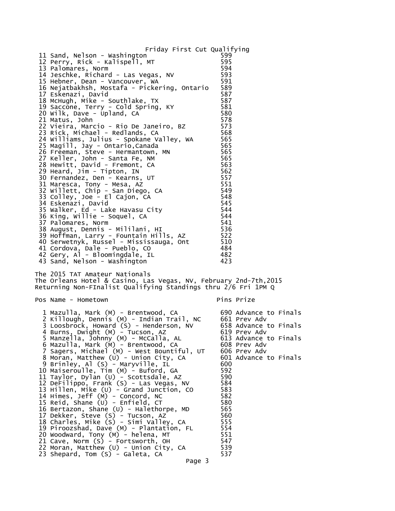Friday First Cut Qualifying 11 Sand, Nelson - Washington 599 12 Perry, Rick - Kalispell, MT 595 13 Palomares, Norm 594 14 Jeschke, Richard - Las Vegas, NV 593 15 Hebner, Dean - Vancouver, WA 591 16 Nejatbakhsh, Mostafa - Pickering, Ontario 589 17 Eskenazi, David 587 18 McHugh, Mike - Southlake, TX 587 19 Saccone, Terry - Cold Spring, KY 581 20 Wilk, Dave - Upland, CA 580 (1980)<br>21 Matus. John 1980 (1981) 578 21 Matus, John 578 22 Vieira, Marcio - Rio De Janeiro, BZ 573 23 Rick, Michael - Redlands, CA 568 24 Williams, Julius - Spokane Valley, WA 565 25 Magill, Jay - Ontario,Canada 565 26 Freeman, Steve - Hermantown, MN 565 27 Keller, John - Santa Fe, NM 565 28 Hewitt, David - Fremont, CA 563 29 Heard, Jim - Tipton, IN 562 30 Fernandez, Den - Kearns, UT 557 31 Maresca, Tony - Mesa, AZ 551 32 Willett, Chip - San Diego, CA 549 33 Colley, Joe - El Cajon, CA 548 34 Eskenazi, David 545 35 Walker, Ed - Lake Havasu City 544 36 King, Willie - Soquel, CA 544 37 Palomares, Norm 38 August, Dennis - Mililani, HI 536 39 Hoffman, Larry - Fountain Hills, AZ 522 40 Serwetnyk, Russel - Mississauga, Ont 510 41 Cordova, Dale - Pueblo, CO 484 42 Gery, Al - Bloomingdale, IL 482 43 Sand, Nelson - Washington 423 The 2015 TAT Amateur Nationals The Orleans Hotel & Casino, Las Vegas, NV, February 2nd-7th,2015 Returning Non-FInalist Qualifying Standings thru 2/6 Fri 1PM Q Pos Name - Hometown entitled a series of the Pins Prize 1 Mazulla, Mark (M) - Brentwood, CA 690 Advance to Finals 2 Killough, Dennis (M) - Indian Trail, NC 661 Prev Adv 3 Loosbrock, Howard (S) - Henderson, NV 658 Advance to Finals 4 Burns, Dwight (M) - Tucson, AZ 619 Prev Adv 5 Manzella, Johnny (M) - McCalla, AL 613 Advance to Finals 6 Mazulla, Mark (M) - Brentwood, CA 608 Prev Adv 7 Sagers, Michael (M) - West Bountiful, UT 606 Prev Adv 8 Moran, Matthew (U) - Union City, CA 601 Advance to Finals 9 Brinley, Al (S) - Maryville, IL 600 10 Maiseroulle, Tim (M) - Buford, GA 592 11 Taylor, Dylan (U) - Scottsdale, AZ 590 12 DeFilippo, Frank (S) - Las Vegas, NV 584 13 Hillen, Mike (U) - Grand Junction, CO 583 14 Himes, Jeff (M) - Concord, NC 582<br>15 Reid, Shane (U) - Enfield, CT 580 15 Reid, Shane (U) - Enfield, CT 580 16 Bertazon, Shane (U) - Halethorpe, MD 565<br>17 Dekker, Steve (S) - Tucson, AZ 560 17 Dekker, Steve (S) - Tucson, AZ 560 18 Charles, Mike (S) - Simi Valley, CA 555 19 Piroozshad, Dave (M) - Plantation, FL 554 20 Woodward, Tony (M) - helena, MT 551 21 Cave, Norm (S) - Fortsworth, OH 547 22 Moran, Matthew (U) - Union City, CA 539 23 Shepard, Tom (S) - Galeta, CA

Page 3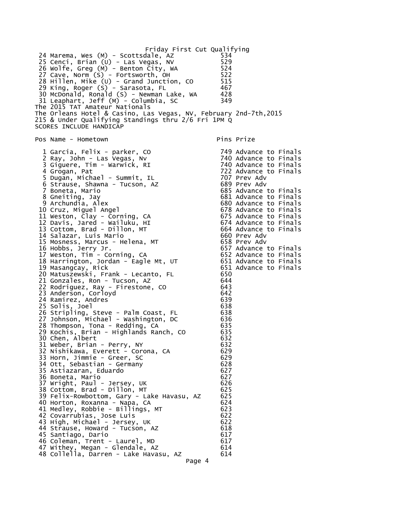```
Friday First Cut Qualifying
 24 Marema, Wes (M) - Scottsdale, AZ 534 
 25 Cenci, Brian (U) - Las Vegas, NV 529 
 26 Wolfe, Greg (M) - Benton City, WA 524 
27 Cave, Norm (S) - Fortsworth, OH 522
28 Hillen, Mike (U) - Grand Junction, CO 515
 29 King, Roger (S) - Sarasota, FL 467 
 30 McDonald, Ronald (S) - Newman Lake, WA 428 
 31 Leaphart, Jeff (M) - Columbia, SC 349 
The 2015 TAT Amateur Nationals
The Orleans Hotel & Casino, Las Vegas, NV, February 2nd-7th,2015
215 & Under Qualifying Standings thru 2/6 Fri 1PM Q
SCORES INCLUDE HANDICAP
Pos Name - Hometown expansion of the Pins Prize
  1 Garcia, Felix - parker, CO 749 Advance to Finals
 2 Ray, John - Las Vegas, Nv
 3 Giguere, Tim - Warwick, RI<br>4 Grogan, Pat
                                         749 Advance to Finals<br>740 Advance to Finals<br>740 Advance to Finals<br>722 Advance to Finals<br>707 Prev Adv
  5 Dugan, Michael - Summit, IL 707 Prev Adv 
 6 Strause, Shawna - Tucson, AZ
 7 Boneta, Mario 685 Advance to Finals
 8 Gneiting, Jay 681 Advance to Finals
 9 Archundia, Alex 680 Advance to Finals
 10 Cruz, Miguel Angel 678 Advance to Finals
11 Weston, Clay - Corning, CA 12 Davis, Jared - Wailuku, HI 674 Advance to Finals
 13 Cottom, Brad - Dillon, MT 664 Advance to Finals
 14 Salazar, Luis Mario 660 Prev Adv 
 15 Mosness, Marcus - Helena, MT 658 Prev Adv 
 16 Hobbs, Jerry Jr. 657 Advance to Finals
 17 Weston, Tim - Corning, CA 652 Advance to Finals
 18 Harrington, Jordan - Eagle Mt, UT 651 Advance to Finals
 19 Masangcay, Rick 651 Advance to Finals
 20 Matuszewski, Frank - Lecanto, FL 650 
 21 Gonzales, Ron - Tucson, AZ 644 
 22 Rodriguez, Ray - Firestone, CO 643 
23 Anderson, Corloyd 642
24 Ramirez, Andres 639 (1988) 1992 (1988) 1993 (1988) 1994 (1988) 1994 (1988) 1994<br>25 Solis, Joel (1988) 1995 (1988) 1995 (1988) 1996 (1989) 1996 (1989) 1996 (1989) 1996 (1989) 1996 (1989) 199
 25 Solis, Joel 638 
 26 Stripling, Steve - Palm Coast, FL 638 
 27 Johnson, Michael - Washington, DC 636 
 28 Thompson, Tona - Redding, CA 635 
29 Kochis, Brian - Highlands Ranch, CO
30 Chen, Albert 632
 31 Weber, Brian - Perry, NY 632 
 32 Nishikawa, Everett - Corona, CA 629 
 33 Horn, Jimmie - Greer, SC 629 
 34 Ott, Sebastian - Germany 628 
35 Astiazaran, Eduardo 627 (n. 1820)<br>36 Boneta, Mario 627 (n. 1820)
 36 Boneta, Mario 627 
 37 Wright, Paul - Jersey, UK 626 
38 Cottom, Brad - Dillon, MT<br>39 Felix-Rowbottom, Gary - Lake Havasu, AZ 625
39 Felix-Rowbottom, Gary - Lake Havasu, AZ
 40 Horton, Roxanna - Napa, CA 624 
 41 Medley, Robbie - Billings, MT 623 
 42 Covarrubias, Jose Luis 622 
 43 High, Michael - Jersey, UK 622 
 44 Strause, Howard - Tucson, AZ 618 
45 Santiago, Dario <u>1988</u> 120 anis 130 anis 130 anis 130 anis 130 anis 140 anis 140 anis 140 anis 140 anis 140 anis 140 anis 140 anis 140 anis 140 anis 140 anis 140 anis 140 anis 140 anis 140 anis 140 anis 140 anis 140 ani
 46 Coleman, Trent - Laurel, MD 617 
  47 Withey, Megan - Glendale, AZ 614 
 48 Collella, Darren - Lake Havasu, AZ 614 
                                   Page 4
```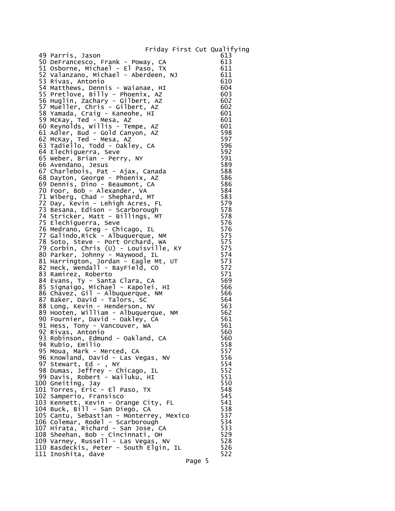## Friday First Cut Qualifying

| 49 Parris, Jason                                                  | 613 |
|-------------------------------------------------------------------|-----|
| 50 DeFrancesco, Frank - Poway, CA                                 | 613 |
| 51 Osborne, Michael - El Paso, TX                                 | 611 |
| 52 Valanzano, Michael - Aberdeen, NJ                              | 611 |
| 53 Rivas, Antonio                                                 | 610 |
| 54 Matthews, Dennis - Waianae, HI                                 | 604 |
| 55 Pretlove, Billy - Phoenix, AZ                                  | 603 |
| 56 Huglin, Zachary - Gilbert, AZ                                  | 602 |
|                                                                   | 602 |
| 57 Mueller, Chris - Gilbert, AZ<br>58 Yamada, Craig - Kaneohe, HI | 601 |
| 59 McKay, Ted - Mesa, AZ                                          | 601 |
| 60 Reynolds, Willis - Tempe, AZ                                   | 601 |
|                                                                   |     |
| 61 Adler, Bud - Gold Canyon, AZ                                   | 598 |
| 62 McKay, Ted - Mesa, AZ                                          | 597 |
| 63 Tadiello, Todd - Oakley, CA                                    | 596 |
| 64 Elechiguerra, Seve                                             | 592 |
| 65 Weber, Brian - Perry, NY                                       | 591 |
| 66 Avendano, Jesus                                                | 589 |
| 67 Charlebois, Pat - Ajax, Canada                                 | 588 |
| 68 Dayton, George - Phoenix, AZ                                   | 586 |
| 69 Dennis, Dino - Beaumont, CA                                    | 586 |
| 70 Foor, Bob - Alexander, VA                                      | 584 |
| 71 Wiberg, Chad - Shephard, MT                                    | 583 |
| 72 Day, Kevin - Lehigh Acres, FL                                  | 579 |
| 73 Besana, Edison - Scarborough                                   | 578 |
| 74 Stricker, Matt - Billings, MT                                  | 578 |
| 75 Elechiguerra, Seve                                             | 576 |
| 76 Medrano, Greg - Chicago, IL                                    | 576 |
| 77 Galindo, Rick - Albuquerque, NM                                | 575 |
| 78 Soto, Steve - Port Orchard, WA                                 | 575 |
| 79 Corbin, Chris (U) - Louisville, KY                             | 575 |
| 80 Parker, Johnny - Maywood, IL                                   | 574 |
| 81 Harrington, Jordan - Eagle Mt, UT                              | 573 |
| 82 Heck, Wendall - BayField, CO                                   | 572 |
|                                                                   | 571 |
| 83 Ramirez, Roberto                                               | 569 |
| 84 Evans, Ty - Santa Clara, CA                                    | 566 |
| 85 Signaigo, Michael - Kapolei, HI                                |     |
| 86 Chavez, Gil - Albuquerque, NM                                  | 566 |
| 87 Baker, David - Talors, SC                                      | 564 |
| 88 Long, Kevin - Henderson, NV                                    | 563 |
| 89 Hooten, William - Albuquerque, NM                              | 562 |
| 90 Fournier, David - Oakley, CA                                   | 561 |
| 91 Hess, Tony - Vancouver, WA                                     | 561 |
| 92 Rivas, Antonio                                                 | 560 |
| 93 Robinson, Edmund - Oakland, CA                                 | 560 |
| 94 Rubio, Emilio                                                  | 558 |
| 95 Moua, Mark - Merced, CA                                        | 557 |
| 96 Knowland, David - Las Vegas, NV                                | 556 |
| 97 Stewart, Ed - , NY                                             | 554 |
| 98 Dumas, Jeffrey - Chicago, IL<br>99 Davis, Robert - Wailuku, HI | 552 |
|                                                                   | 551 |
| 100 Gneiting, Jay                                                 | 550 |
| 101 Torres, Eric - El Paso, TX                                    | 548 |
| 102 Samperio, Fransisco                                           | 545 |
| 103 Kennett, Kevin - Orange City, FL                              | 541 |
| 104 Buck, Bill - San Diego, CA                                    | 538 |
| 105 Cantu, Sebastian - Monterrey, Mexico                          | 537 |
| 106 Colemar, Rodel - Scarborough                                  | 534 |
| 107 Hirata, Richard - San Jose, CA                                | 533 |
| 108 Sheehan, Bob - Cincinnati, OH                                 | 529 |
| 109 Varney, Russell - Las Vegas, NV                               | 528 |
| 110 Basdeckis, Peter - South Elgin, IL                            | 526 |
| 111 Inoshita, dave                                                | 522 |
|                                                                   |     |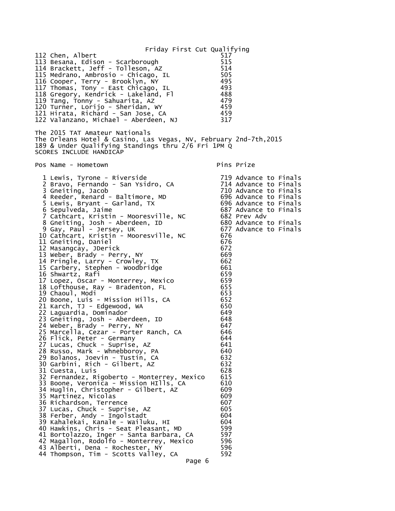Friday First Cut Qualifying 112 Chen, Albert 517 113 Besana, Edison - Scarborough 515 114 Brackett, Jeff - Tolleson, AZ 115 Medrano, Ambrosio - Chicago, IL 505 116 Cooper, Terry - Brooklyn, NY 495 117 Thomas, Tony - East Chicago, IL 493 118 Gregory, Kendrick - Lakeland, Fl 488 119 Tang, Tonny - Sahuarita, AZ 479 120 Turner, Lorijo - Sheridan, WY 459 121 Hirata, Richard - San Jose, CA 459 122 Valanzano, Michael - Aberdeen, NJ 317 The 2015 TAT Amateur Nationals The Orleans Hotel & Casino, Las Vegas, NV, February 2nd-7th,2015 189 & Under Qualifying Standings thru 2/6 Fri 1PM Q SCORES INCLUDE HANDICAP Pos Name - Hometown entry the primary pins Prize 1 Lewis, Tyrone - Riverside 719 Advance to Finals 2 Bravo, Fernando - San Ysidro, CA 3 Gneiting, Jacob 710 Advance to Finals 4 Reeder, Renard - Baltimore, MD 696 Advance to Finals 5 Lewis, Bryant - Garland, TX 696 Advance to Finals 6 Sepulveda, Jaime 687 Advance to Finals 7 Cathcart, Kristin - Mooresville, NC 682 Prev Adv 8 Gneiting, Josh - Aberdeen, ID 680 Advance to Finals 9 Gay, Paul - Jersey, UK 677 Advance to Finals 10 Cathcart, Kristin - Mooresville, NC 676 11 Gneiting, Daniel 676<br>12 Masangcay, JDerick 672 12 Masangcay, JDerick 13 Weber, Brady - Perry, NY 669 14 Pringle, Larry - Crowley, TX 662 15 Carbery, Stephen - Woodbridge 661 16 Shwartz, Rafi 659 17 Lopez, Oscar - Monterrey, Mexico 659 18 Lofthouse, Ray - Bradenton, FL 655 19 Chaoul, Modi 653 20 Boone, Luis - Mission Hills, CA 652 21 Karch, TJ - Edgewood, WA 650 22 Laguardia, Dominador 649 23 Gneiting, Josh - Aberdeen, ID 648 24 Weber, Brady - Perry, NY 647 25 Marcella, Cezar - Porter Ranch, CA 26 Flick, Peter - Germany 644 27 Lucas, Chuck - Suprise, AZ 641 28 Russo, Mark - Whnebboroy, PA 640 29 Bolanos, Joevin - Tustin, CA 632 30 Garbini, Rich - Gilbert, AZ 632 31 Cuesta, Luis 628 32 Fernandez, Rigoberto - Monterrey, Mexico 615 33 Boone, Veronica - Mission HIlls, CA 610 34 Huglin, Christopher - Gilbert, AZ 35 Martinez, Nicolas 609 36 Richardson, Terrence 607 37 Lucas, Chuck - Suprise, AZ 605 38 Ferber, Andy - Ingolstadt 604 39 Kahalekai, Kanale - Wailuku, HI 604 40 Hawkins, Chris - Seat Pleasant, MD 599 41 Bortolazzo, Inger - Santa Barbara, CA 597 42 Magallon, Rodolfo - Monterrey, Mexico 596 43 Alberti, Dena - Rochester, NY 596 44 Thompson, Tim - Scotts Valley, CA Page 6